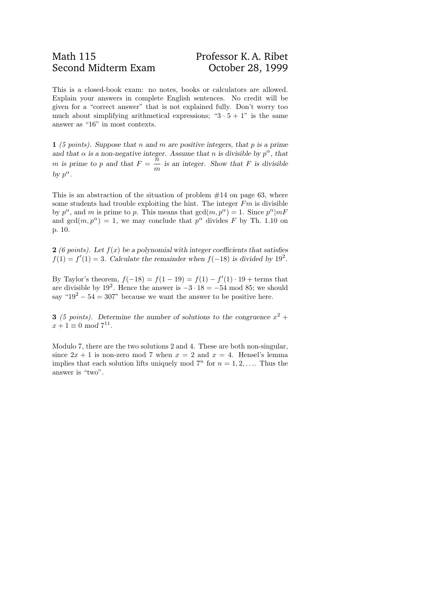## Math 115 Professor K. A. Ribet Second Midterm Exam Corober 28, 1999

This is a closed-book exam: no notes, books or calculators are allowed. Explain your answers in complete English sentences. No credit will be given for a "correct answer" that is not explained fully. Don't worry too much about simplifying arithmetical expressions; " $3 \cdot 5 + 1$ " is the same answer as "16" in most contexts.

1 (5 points). Suppose that n and m are positive integers, that p is a prime and that  $\alpha$  is a non-negative integer. Assume that n is divisible by  $p^{\alpha}$ , that m is prime to p and that  $F =$  $\widetilde{n}$  $\dot{m}$ is an integer. Show that  $F$  is divisible by  $p^{\alpha}$ .

This is an abstraction of the situation of problem  $#14$  on page 63, where some students had trouble exploiting the hint. The integer  $Fm$  is divisible by  $p^{\alpha}$ , and m is prime to p. This means that  $gcd(m, p^{\alpha}) = 1$ . Since  $p^{\alpha}|mF$ and  $gcd(m, p^{\alpha}) = 1$ , we may conclude that  $p^{\alpha}$  divides F by Th. 1.10 on p. 10.

2 (6 points). Let  $f(x)$  be a polynomial with integer coefficients that satisfies  $f(1) = f'(1) = 3$ . Calculate the remainder when  $f(-18)$  is divided by 19<sup>2</sup>.

By Taylor's theorem,  $f(-18) = f(1 - 19) = f(1) - f'(1) \cdot 19 + \text{terms that}$ are divisible by 19<sup>2</sup>. Hence the answer is  $-3 \cdot 18 = -54 \mod 85$ ; we should say " $19^2 - 54 = 307$ " because we want the answer to be positive here.

**3** (5 points). Determine the number of solutions to the congruence  $x^2 +$  $x + 1 \equiv 0 \mod 7^{11}.$ 

Modulo 7, there are the two solutions 2 and 4. These are both non-singular, since  $2x + 1$  is non-zero mod 7 when  $x = 2$  and  $x = 4$ . Hensel's lemma implies that each solution lifts uniquely mod  $7^n$  for  $n = 1, 2, \ldots$  Thus the answer is "two".